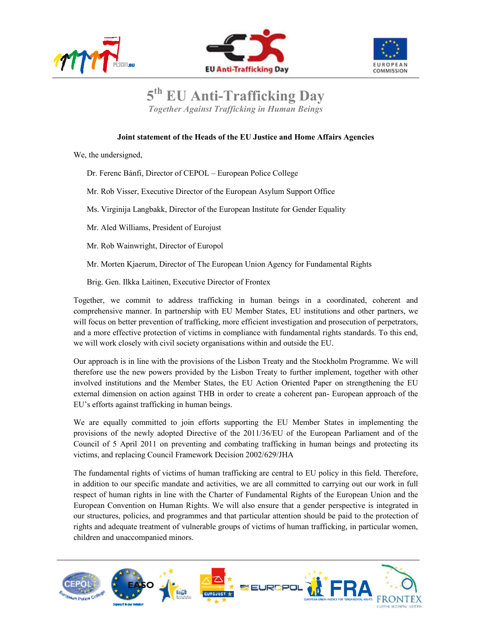





## **5 th EU Anti-Trafficking Day**

*Together Against Trafficking in Human Beings* 

## **Joint statement of the Heads of the EU Justice and Home Affairs Agencies**

We, the undersigned,

Dr. Ferenc Bánfi, Director of CEPOL – European Police College

Mr. Rob Visser, Executive Director of the European Asylum Support Office

Ms. Virginija Langbakk, Director of the European Institute for Gender Equality

Mr. Aled Williams, President of Eurojust

Mr. Rob Wainwright, Director of Europol

Mr. Morten Kjaerum, Director of The European Union Agency for Fundamental Rights

Brig. Gen. Ilkka Laitinen, Executive Director of Frontex

Together, we commit to address trafficking in human beings in a coordinated, coherent and comprehensive manner. In partnership with EU Member States, EU institutions and other partners, we will focus on better prevention of trafficking, more efficient investigation and prosecution of perpetrators, and a more effective protection of victims in compliance with fundamental rights standards. To this end, we will work closely with civil society organisations within and outside the EU.

Our approach is in line with the provisions of the Lisbon Treaty and the Stockholm Programme. We will therefore use the new powers provided by the Lisbon Treaty to further implement, together with other involved institutions and the Member States, the EU Action Oriented Paper on strengthening the EU external dimension on action against THB in order to create a coherent pan- European approach of the EU's efforts against trafficking in human beings.

We are equally committed to join efforts supporting the EU Member States in implementing the provisions of the newly adopted Directive of the 2011/36/EU of the European Parliament and of the Council of 5 April 2011 on preventing and combating trafficking in human beings and protecting its victims, and replacing Council Framework Decision 2002/629/JHA

The fundamental rights of victims of human trafficking are central to EU policy in this field. Therefore, in addition to our specific mandate and activities, we are all committed to carrying out our work in full respect of human rights in line with the Charter of Fundamental Rights of the European Union and the European Convention on Human Rights. We will also ensure that a gender perspective is integrated in our structures, policies, and programmes and that particular attention should be paid to the protection of rights and adequate treatment of vulnerable groups of victims of human trafficking, in particular women, children and unaccompanied minors.

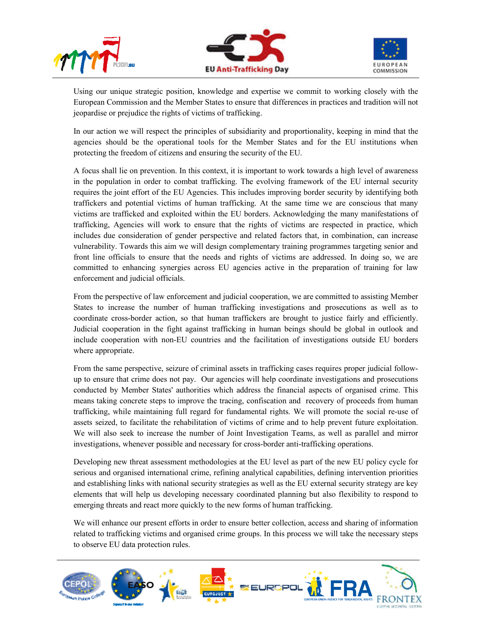





Using our unique strategic position, knowledge and expertise we commit to working closely with the European Commission and the Member States to ensure that differences in practices and tradition will not jeopardise or prejudice the rights of victims of trafficking.

In our action we will respect the principles of subsidiarity and proportionality, keeping in mind that the agencies should be the operational tools for the Member States and for the EU institutions when protecting the freedom of citizens and ensuring the security of the EU.

A focus shall lie on prevention. In this context, it is important to work towards a high level of awareness in the population in order to combat trafficking. The evolving framework of the EU internal security requires the joint effort of the EU Agencies. This includes improving border security by identifying both traffickers and potential victims of human trafficking. At the same time we are conscious that many victims are trafficked and exploited within the EU borders. Acknowledging the many manifestations of trafficking, Agencies will work to ensure that the rights of victims are respected in practice, which includes due consideration of gender perspective and related factors that, in combination, can increase vulnerability. Towards this aim we will design complementary training programmes targeting senior and front line officials to ensure that the needs and rights of victims are addressed. In doing so, we are committed to enhancing synergies across EU agencies active in the preparation of training for law enforcement and judicial officials.

From the perspective of law enforcement and judicial cooperation, we are committed to assisting Member States to increase the number of human trafficking investigations and prosecutions as well as to coordinate cross-border action, so that human traffickers are brought to justice fairly and efficiently. Judicial cooperation in the fight against trafficking in human beings should be global in outlook and include cooperation with non-EU countries and the facilitation of investigations outside EU borders where appropriate.

From the same perspective, seizure of criminal assets in trafficking cases requires proper judicial followup to ensure that crime does not pay. Our agencies will help coordinate investigations and prosecutions conducted by Member States' authorities which address the financial aspects of organised crime. This means taking concrete steps to improve the tracing, confiscation and recovery of proceeds from human trafficking, while maintaining full regard for fundamental rights. We will promote the social re-use of assets seized, to facilitate the rehabilitation of victims of crime and to help prevent future exploitation. We will also seek to increase the number of Joint Investigation Teams, as well as parallel and mirror investigations, whenever possible and necessary for cross-border anti-trafficking operations.

Developing new threat assessment methodologies at the EU level as part of the new EU policy cycle for serious and organised international crime, refining analytical capabilities, defining intervention priorities and establishing links with national security strategies as well as the EU external security strategy are key elements that will help us developing necessary coordinated planning but also flexibility to respond to emerging threats and react more quickly to the new forms of human trafficking.

We will enhance our present efforts in order to ensure better collection, access and sharing of information related to trafficking victims and organised crime groups. In this process we will take the necessary steps to observe EU data protection rules.